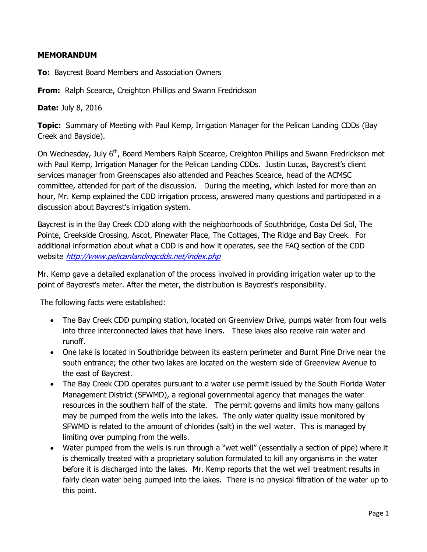## **MEMORANDUM**

**To:** Baycrest Board Members and Association Owners

**From:** Ralph Scearce, Creighton Phillips and Swann Fredrickson

**Date:** July 8, 2016

**Topic:** Summary of Meeting with Paul Kemp, Irrigation Manager for the Pelican Landing CDDs (Bay Creek and Bayside).

On Wednesday, July 6<sup>th</sup>, Board Members Ralph Scearce, Creighton Phillips and Swann Fredrickson met with Paul Kemp, Irrigation Manager for the Pelican Landing CDDs. Justin Lucas, Baycrest's client services manager from Greenscapes also attended and Peaches Scearce, head of the ACMSC committee, attended for part of the discussion. During the meeting, which lasted for more than an hour, Mr. Kemp explained the CDD irrigation process, answered many questions and participated in a discussion about Baycrest's irrigation system.

Baycrest is in the Bay Creek CDD along with the neighborhoods of Southbridge, Costa Del Sol, The Pointe, Creekside Crossing, Ascot, Pinewater Place, The Cottages, The Ridge and Bay Creek. For additional information about what a CDD is and how it operates, see the FAQ section of the CDD website <http://www.pelicanlandingcdds.net/index.php>

Mr. Kemp gave a detailed explanation of the process involved in providing irrigation water up to the point of Baycrest's meter. After the meter, the distribution is Baycrest's responsibility.

The following facts were established:

- The Bay Creek CDD pumping station, located on Greenview Drive, pumps water from four wells into three interconnected lakes that have liners. These lakes also receive rain water and runoff.
- One lake is located in Southbridge between its eastern perimeter and Burnt Pine Drive near the south entrance; the other two lakes are located on the western side of Greenview Avenue to the east of Baycrest.
- The Bay Creek CDD operates pursuant to a water use permit issued by the South Florida Water Management District (SFWMD), a regional governmental agency that manages the water resources in the southern half of the state. The permit governs and limits how many gallons may be pumped from the wells into the lakes. The only water quality issue monitored by SFWMD is related to the amount of chlorides (salt) in the well water. This is managed by limiting over pumping from the wells.
- Water pumped from the wells is run through a "wet well" (essentially a section of pipe) where it is chemically treated with a proprietary solution formulated to kill any organisms in the water before it is discharged into the lakes. Mr. Kemp reports that the wet well treatment results in fairly clean water being pumped into the lakes. There is no physical filtration of the water up to this point.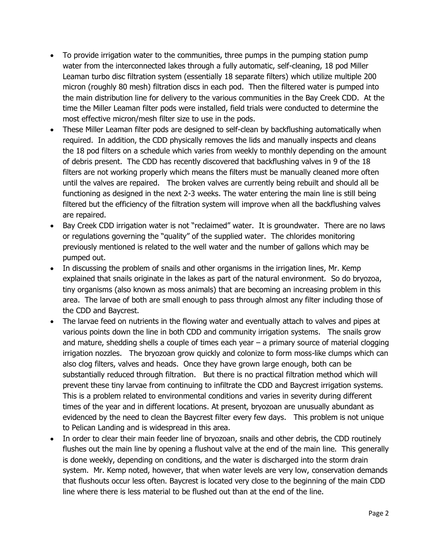- To provide irrigation water to the communities, three pumps in the pumping station pump water from the interconnected lakes through a fully automatic, self-cleaning, 18 pod Miller Leaman turbo disc filtration system (essentially 18 separate filters) which utilize multiple 200 micron (roughly 80 mesh) filtration discs in each pod. Then the filtered water is pumped into the main distribution line for delivery to the various communities in the Bay Creek CDD. At the time the Miller Leaman filter pods were installed, field trials were conducted to determine the most effective micron/mesh filter size to use in the pods.
- These Miller Leaman filter pods are designed to self-clean by backflushing automatically when required. In addition, the CDD physically removes the lids and manually inspects and cleans the 18 pod filters on a schedule which varies from weekly to monthly depending on the amount of debris present. The CDD has recently discovered that backflushing valves in 9 of the 18 filters are not working properly which means the filters must be manually cleaned more often until the valves are repaired. The broken valves are currently being rebuilt and should all be functioning as designed in the next 2-3 weeks. The water entering the main line is still being filtered but the efficiency of the filtration system will improve when all the backflushing valves are repaired.
- Bay Creek CDD irrigation water is not "reclaimed" water. It is groundwater. There are no laws or regulations governing the "quality" of the supplied water. The chlorides monitoring previously mentioned is related to the well water and the number of gallons which may be pumped out.
- In discussing the problem of snails and other organisms in the irrigation lines, Mr. Kemp explained that snails originate in the lakes as part of the natural environment. So do bryozoa, tiny organisms (also known as moss animals) that are becoming an increasing problem in this area. The larvae of both are small enough to pass through almost any filter including those of the CDD and Baycrest.
- The larvae feed on nutrients in the flowing water and eventually attach to valves and pipes at various points down the line in both CDD and community irrigation systems. The snails grow and mature, shedding shells a couple of times each year – a primary source of material clogging irrigation nozzles. The bryozoan grow quickly and colonize to form moss-like clumps which can also clog filters, valves and heads. Once they have grown large enough, both can be substantially reduced through filtration. But there is no practical filtration method which will prevent these tiny larvae from continuing to infiltrate the CDD and Baycrest irrigation systems. This is a problem related to environmental conditions and varies in severity during different times of the year and in different locations. At present, bryozoan are unusually abundant as evidenced by the need to clean the Baycrest filter every few days. This problem is not unique to Pelican Landing and is widespread in this area.
- In order to clear their main feeder line of bryozoan, snails and other debris, the CDD routinely flushes out the main line by opening a flushout valve at the end of the main line. This generally is done weekly, depending on conditions, and the water is discharged into the storm drain system. Mr. Kemp noted, however, that when water levels are very low, conservation demands that flushouts occur less often. Baycrest is located very close to the beginning of the main CDD line where there is less material to be flushed out than at the end of the line.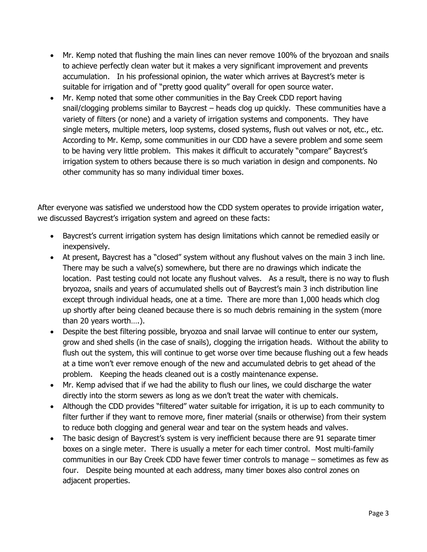- Mr. Kemp noted that flushing the main lines can never remove 100% of the bryozoan and snails to achieve perfectly clean water but it makes a very significant improvement and prevents accumulation. In his professional opinion, the water which arrives at Baycrest's meter is suitable for irrigation and of "pretty good quality" overall for open source water.
- Mr. Kemp noted that some other communities in the Bay Creek CDD report having snail/clogging problems similar to Baycrest – heads clog up quickly. These communities have a variety of filters (or none) and a variety of irrigation systems and components. They have single meters, multiple meters, loop systems, closed systems, flush out valves or not, etc., etc. According to Mr. Kemp, some communities in our CDD have a severe problem and some seem to be having very little problem. This makes it difficult to accurately "compare" Baycrest's irrigation system to others because there is so much variation in design and components. No other community has so many individual timer boxes.

After everyone was satisfied we understood how the CDD system operates to provide irrigation water, we discussed Baycrest's irrigation system and agreed on these facts:

- Baycrest's current irrigation system has design limitations which cannot be remedied easily or inexpensively.
- At present, Baycrest has a "closed" system without any flushout valves on the main 3 inch line. There may be such a valve(s) somewhere, but there are no drawings which indicate the location. Past testing could not locate any flushout valves. As a result, there is no way to flush bryozoa, snails and years of accumulated shells out of Baycrest's main 3 inch distribution line except through individual heads, one at a time. There are more than 1,000 heads which clog up shortly after being cleaned because there is so much debris remaining in the system (more than 20 years worth….).
- Despite the best filtering possible, bryozoa and snail larvae will continue to enter our system, grow and shed shells (in the case of snails), clogging the irrigation heads. Without the ability to flush out the system, this will continue to get worse over time because flushing out a few heads at a time won't ever remove enough of the new and accumulated debris to get ahead of the problem. Keeping the heads cleaned out is a costly maintenance expense.
- Mr. Kemp advised that if we had the ability to flush our lines, we could discharge the water directly into the storm sewers as long as we don't treat the water with chemicals.
- Although the CDD provides "filtered" water suitable for irrigation, it is up to each community to filter further if they want to remove more, finer material (snails or otherwise) from their system to reduce both clogging and general wear and tear on the system heads and valves.
- The basic design of Baycrest's system is very inefficient because there are 91 separate timer boxes on a single meter. There is usually a meter for each timer control. Most multi-family communities in our Bay Creek CDD have fewer timer controls to manage – sometimes as few as four. Despite being mounted at each address, many timer boxes also control zones on adjacent properties.